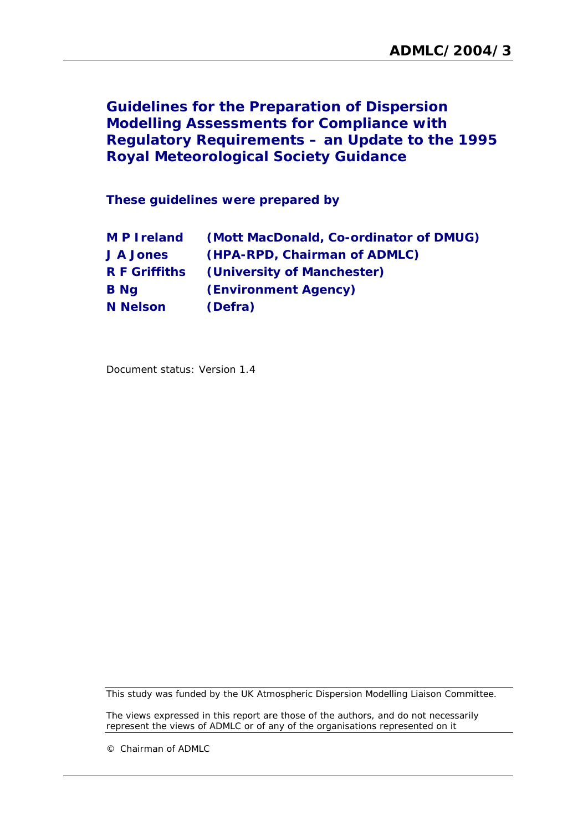# **Guidelines for the Preparation of Dispersion Modelling Assessments for Compliance with Regulatory Requirements – an Update to the 1995 Royal Meteorological Society Guidance**

**These guidelines were prepared by** 

| <b>MP</b> Ireland    | (Mott MacDonald, Co-ordinator of DMUG) |
|----------------------|----------------------------------------|
| <b>J A Jones</b>     | (HPA-RPD, Chairman of ADMLC)           |
| <b>R F Griffiths</b> | (University of Manchester)             |
| <b>B</b> Ng          | (Environment Agency)                   |
| <b>N</b> Nelson      | (Defra)                                |

Document status: Version 1.4

This study was funded by the UK Atmospheric Dispersion Modelling Liaison Committee.

The views expressed in this report are those of the authors, and do not necessarily represent the views of ADMLC or of any of the organisations represented on it

© Chairman of ADMLC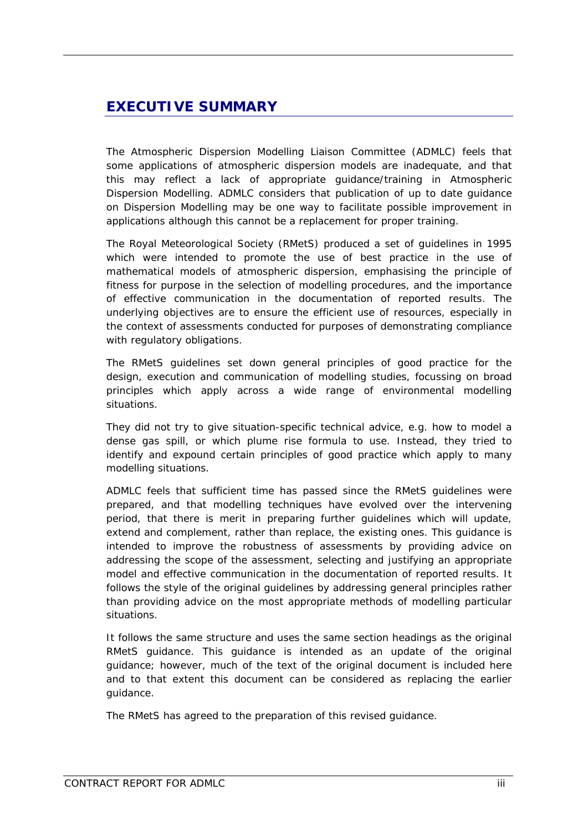## **EXECUTIVE SUMMARY**

The Atmospheric Dispersion Modelling Liaison Committee (ADMLC) feels that some applications of atmospheric dispersion models are inadequate, and that this may reflect a lack of appropriate guidance/training in Atmospheric Dispersion Modelling. ADMLC considers that publication of up to date guidance on Dispersion Modelling may be one way to facilitate possible improvement in applications although this cannot be a replacement for proper training.

The Royal Meteorological Society (RMetS) produced a set of guidelines in 1995 which were intended to promote the use of best practice in the use of mathematical models of atmospheric dispersion, emphasising the principle of fitness for purpose in the selection of modelling procedures, and the importance of effective communication in the documentation of reported results. The underlying objectives are to ensure the efficient use of resources, especially in the context of assessments conducted for purposes of demonstrating compliance with regulatory obligations.

The RMetS guidelines set down general principles of good practice for the design, execution and communication of modelling studies, focussing on broad principles which apply across a wide range of environmental modelling situations.

They did not try to give situation-specific technical advice, e.g. how to model a dense gas spill, or which plume rise formula to use. Instead, they tried to identify and expound certain principles of good practice which apply to many modelling situations.

ADMLC feels that sufficient time has passed since the RMetS guidelines were prepared, and that modelling techniques have evolved over the intervening period, that there is merit in preparing further guidelines which will update, extend and complement, rather than replace, the existing ones. This guidance is intended to improve the robustness of assessments by providing advice on addressing the scope of the assessment, selecting and justifying an appropriate model and effective communication in the documentation of reported results. It follows the style of the original guidelines by addressing general principles rather than providing advice on the most appropriate methods of modelling particular situations.

It follows the same structure and uses the same section headings as the original RMetS guidance. This guidance is intended as an update of the original guidance; however, much of the text of the original document is included here and to that extent this document can be considered as replacing the earlier guidance.

The RMetS has agreed to the preparation of this revised guidance.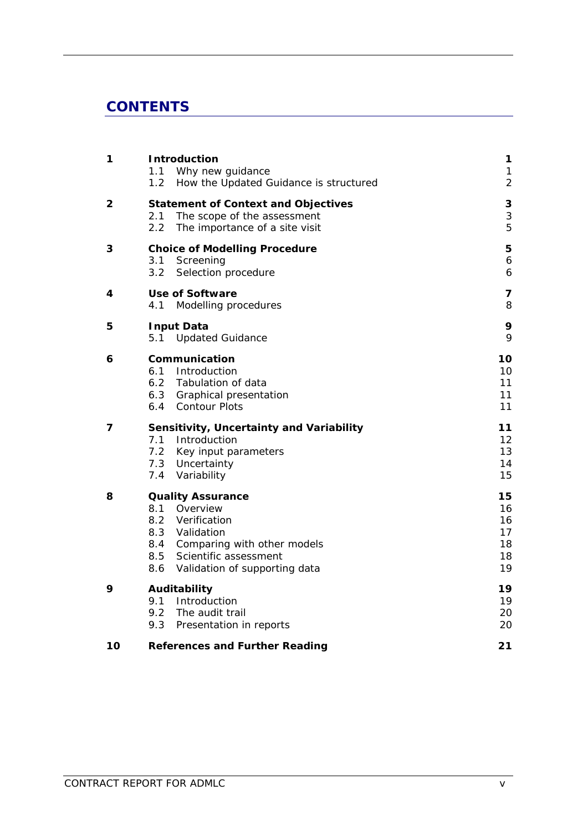# **CONTENTS**

| 1                       | <b>Introduction</b><br>Why new guidance<br>1.1<br>1.2<br>How the Updated Guidance is structured                                                                                                       | 1<br>$\mathbf{1}$<br>$\overline{2}$    |
|-------------------------|-------------------------------------------------------------------------------------------------------------------------------------------------------------------------------------------------------|----------------------------------------|
| $\overline{\mathbf{2}}$ | <b>Statement of Context and Objectives</b><br>2.1<br>The scope of the assessment<br>2.2<br>The importance of a site visit                                                                             | 3<br>$\mathsf 3$<br>5                  |
| 3                       | <b>Choice of Modelling Procedure</b><br>3.1<br>Screening<br>3.2<br>Selection procedure                                                                                                                | 5<br>6<br>6                            |
| 4                       | <b>Use of Software</b><br>4.1<br>Modelling procedures                                                                                                                                                 | $\overline{\mathbf{z}}$<br>8           |
| 5                       | <b>Input Data</b><br>5.1<br><b>Updated Guidance</b>                                                                                                                                                   | 9<br>9                                 |
| 6                       | Communication<br>6.1<br>Introduction<br>6.2<br>Tabulation of data<br>6.3<br><b>Graphical presentation</b><br>6.4<br><b>Contour Plots</b>                                                              | 10<br>10<br>11<br>11<br>11             |
| 7                       | Sensitivity, Uncertainty and Variability<br>7.1<br>Introduction<br>7.2<br>Key input parameters<br>7.3<br>Uncertainty<br>7.4<br>Variability                                                            | 11<br>12<br>13<br>14<br>15             |
| 8                       | <b>Quality Assurance</b><br>8.1<br>Overview<br>8.2<br>Verification<br>8.3<br>Validation<br>8.4<br>Comparing with other models<br>8.5<br>Scientific assessment<br>8.6<br>Validation of supporting data | 15<br>16<br>16<br>17<br>18<br>18<br>19 |
| 9                       | Auditability<br>9.1<br>Introduction<br>9.2<br>The audit trail<br>9.3<br>Presentation in reports                                                                                                       | 19<br>19<br>20<br>20                   |
| 10                      | <b>References and Further Reading</b>                                                                                                                                                                 | 21                                     |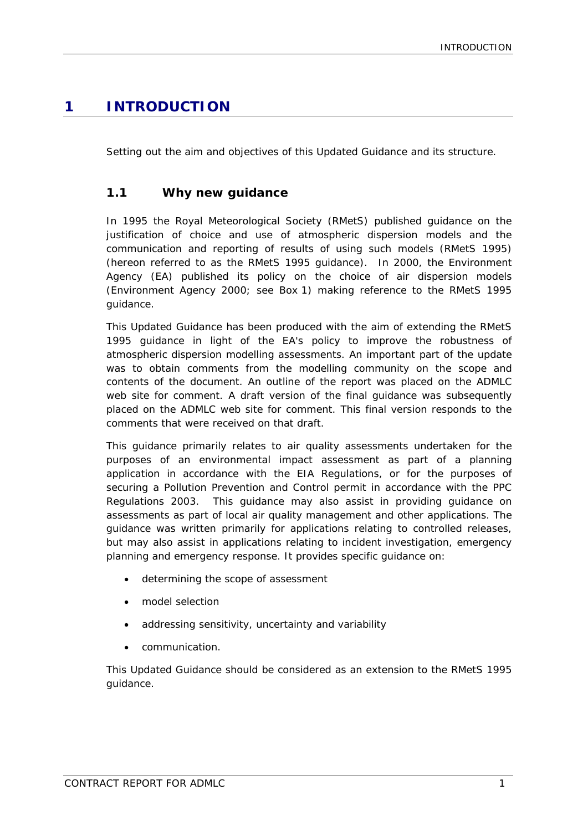## <span id="page-6-0"></span>**1 INTRODUCTION**

*Setting out the aim and objectives of this Updated Guidance and its structure.* 

#### **1.1 Why new guidance**

In 1995 the Royal Meteorological Society (RMetS) published guidance on the justification of choice and use of atmospheric dispersion models and the communication and reporting of results of using such models (RMetS 1995) (hereon referred to as the RMetS 1995 guidance). In 2000, the Environment Agency (EA) published its policy on the choice of air dispersion models (Environment Agency 2000; see Box 1) making reference to the RMetS 1995 guidance.

This Updated Guidance has been produced with the aim of extending the RMetS 1995 guidance in light of the EA's policy to improve the robustness of atmospheric dispersion modelling assessments. An important part of the update was to obtain comments from the modelling community on the scope and contents of the document. An outline of the report was placed on the ADMLC web site for comment. A draft version of the final guidance was subsequently placed on the ADMLC web site for comment. This final version responds to the comments that were received on that draft.

This guidance primarily relates to air quality assessments undertaken for the purposes of an environmental impact assessment as part of a planning application in accordance with the EIA Regulations, or for the purposes of securing a Pollution Prevention and Control permit in accordance with the PPC Regulations 2003. This guidance may also assist in providing guidance on assessments as part of local air quality management and other applications. The guidance was written primarily for applications relating to controlled releases, but may also assist in applications relating to incident investigation, emergency planning and emergency response. It provides specific guidance on:

- determining the scope of assessment
- model selection
- addressing sensitivity, uncertainty and variability
- communication.

This Updated Guidance should be considered as an extension to the RMetS 1995 guidance.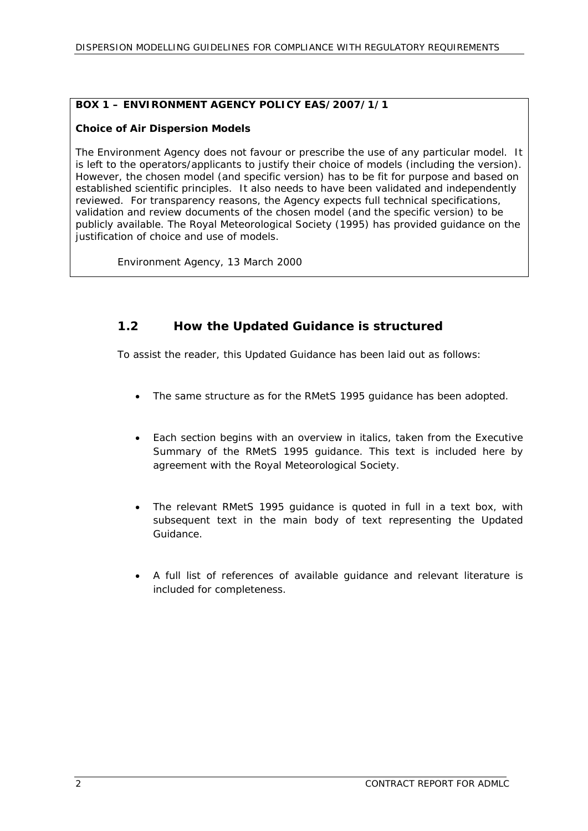#### <span id="page-7-0"></span>**BOX 1 – ENVIRONMENT AGENCY POLICY EAS/2007/1/1**

#### *Choice of Air Dispersion Models*

*The Environment Agency does not favour or prescribe the use of any particular model. It is left to the operators/applicants to justify their choice of models (including the version). However, the chosen model (and specific version) has to be fit for purpose and based on established scientific principles. It also needs to have been validated and independently reviewed. For transparency reasons, the Agency expects full technical specifications, validation and review documents of the chosen model (and the specific version) to be publicly available. The Royal Meteorological Society (1995) has provided guidance on the justification of choice and use of models.* 

Environment Agency, 13 March 2000

#### **1.2 How the Updated Guidance is structured**

To assist the reader, this Updated Guidance has been laid out as follows:

- The same structure as for the RMetS 1995 guidance has been adopted.
- Each section begins with an overview in italics, taken from the Executive Summary of the RMetS 1995 guidance. This text is included here by agreement with the Royal Meteorological Society.
- The relevant RMetS 1995 guidance is quoted in full in a text box, with subsequent text in the main body of text representing the Updated Guidance.
- A full list of references of available guidance and relevant literature is included for completeness.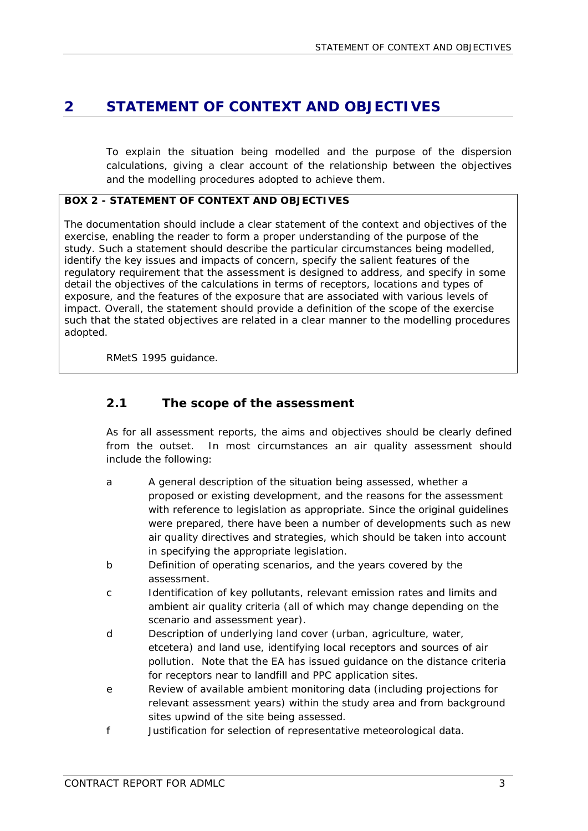# <span id="page-8-0"></span>**2 STATEMENT OF CONTEXT AND OBJECTIVES**

*To explain the situation being modelled and the purpose of the dispersion calculations, giving a clear account of the relationship between the objectives and the modelling procedures adopted to achieve them.* 

#### **BOX 2 - STATEMENT OF CONTEXT AND OBJECTIVES**

*The documentation should include a clear statement of the context and objectives of the exercise, enabling the reader to form a proper understanding of the purpose of the study. Such a statement should describe the particular circumstances being modelled, identify the key issues and impacts of concern, specify the salient features of the regulatory requirement that the assessment is designed to address, and specify in some detail the objectives of the calculations in terms of receptors, locations and types of exposure, and the features of the exposure that are associated with various levels of impact. Overall, the statement should provide a definition of the scope of the exercise such that the stated objectives are related in a clear manner to the modelling procedures adopted.* 

RMetS 1995 guidance.

#### **2.1 The scope of the assessment**

As for all assessment reports, the aims and objectives should be clearly defined from the outset. In most circumstances an air quality assessment should include the following:

- a A general description of the situation being assessed, whether a proposed or existing development, and the reasons for the assessment with reference to legislation as appropriate. Since the original guidelines were prepared, there have been a number of developments such as new air quality directives and strategies, which should be taken into account in specifying the appropriate legislation.
- b Definition of operating scenarios, and the years covered by the assessment.
- c Identification of key pollutants, relevant emission rates and limits and ambient air quality criteria (all of which may change depending on the scenario and assessment year).
- d Description of underlying land cover (urban, agriculture, water, etcetera) and land use, identifying local receptors and sources of air pollution. Note that the EA has issued guidance on the distance criteria for receptors near to landfill and PPC application sites.
- e Review of available ambient monitoring data (including projections for relevant assessment years) within the study area and from background sites upwind of the site being assessed.
- f Justification for selection of representative meteorological data.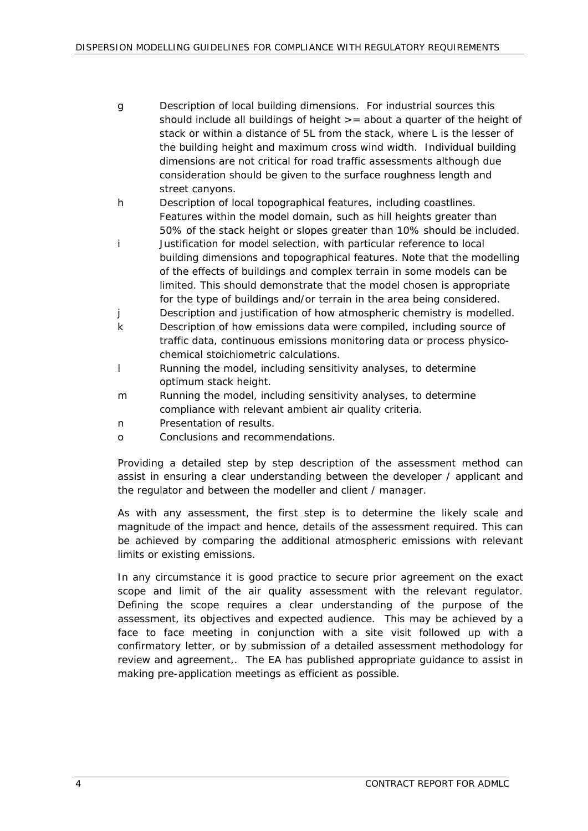- g Description of local building dimensions. For industrial sources this should include all buildings of height  $\epsilon$  about a quarter of the height of stack or within a distance of 5L from the stack, where L is the lesser of the building height and maximum cross wind width. Individual building dimensions are not critical for road traffic assessments although due consideration should be given to the surface roughness length and street canyons.
- h Description of local topographical features, including coastlines. Features within the model domain, such as hill heights greater than 50% of the stack height or slopes greater than 10% should be included.
- i Justification for model selection, with particular reference to local building dimensions and topographical features. Note that the modelling of the effects of buildings and complex terrain in some models can be limited. This should demonstrate that the model chosen is appropriate for the type of buildings and/or terrain in the area being considered.
- j Description and justification of how atmospheric chemistry is modelled.
- k Description of how emissions data were compiled, including source of traffic data, continuous emissions monitoring data or process physicochemical stoichiometric calculations.
- l Running the model, including sensitivity analyses, to determine optimum stack height.
- m Running the model, including sensitivity analyses, to determine compliance with relevant ambient air quality criteria.
- n Presentation of results.
- o Conclusions and recommendations.

Providing a detailed step by step description of the assessment method can assist in ensuring a clear understanding between the developer / applicant and the regulator and between the modeller and client / manager.

As with any assessment, the first step is to determine the likely scale and magnitude of the impact and hence, details of the assessment required. This can be achieved by comparing the additional atmospheric emissions with relevant limits or existing emissions.

In any circumstance it is good practice to secure prior agreement on the exact scope and limit of the air quality assessment with the relevant regulator. Defining the scope requires a clear understanding of the purpose of the assessment, its objectives and expected audience. This may be achieved by a face to face meeting in conjunction with a site visit followed up with a confirmatory letter, or by submission of a detailed assessment methodology for review and agreement,. The EA has published appropriate guidance to assist in making pre-application meetings as efficient as possible.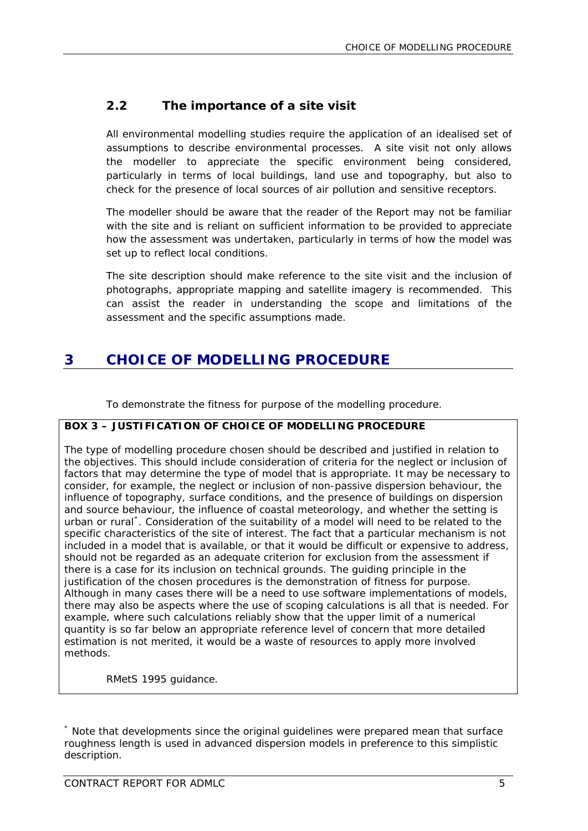## <span id="page-10-0"></span>**2.2 The importance of a site visit**

All environmental modelling studies require the application of an idealised set of assumptions to describe environmental processes. A site visit not only allows the modeller to appreciate the specific environment being considered, particularly in terms of local buildings, land use and topography, but also to check for the presence of local sources of air pollution and sensitive receptors.

The modeller should be aware that the reader of the Report may not be familiar with the site and is reliant on sufficient information to be provided to appreciate how the assessment was undertaken, particularly in terms of how the model was set up to reflect local conditions.

The site description should make reference to the site visit and the inclusion of photographs, appropriate mapping and satellite imagery is recommended. This can assist the reader in understanding the scope and limitations of the assessment and the specific assumptions made.

# **3 CHOICE OF MODELLING PROCEDURE**

*To demonstrate the fitness for purpose of the modelling procedure.* 

#### **BOX 3 – JUSTIFICATION OF CHOICE OF MODELLING PROCEDURE**

*The type of modelling procedure chosen should be described and justified in relation to the objectives. This should include consideration of criteria for the neglect or inclusion of factors that may determine the type of model that is appropriate. It may be necessary to consider, for example, the neglect or inclusion of non-passive dispersion behaviour, the influence of topography, surface conditions, and the presence of buildings on dispersion and source behaviour, the influence of coastal meteorology, and whether the setting is urban or rural[\\*](#page-10-1) . Consideration of the suitability of a model will need to be related to the specific characteristics of the site of interest. The fact that a particular mechanism is not included in a model that is available, or that it would be difficult or expensive to address, should not be regarded as an adequate criterion for exclusion from the assessment if there is a case for its inclusion on technical grounds. The guiding principle in the justification of the chosen procedures is the demonstration of fitness for purpose. Although in many cases there will be a need to use software implementations of models, there may also be aspects where the use of scoping calculations is all that is needed. For example, where such calculations reliably show that the upper limit of a numerical quantity is so far below an appropriate reference level of concern that more detailed estimation is not merited, it would be a waste of resources to apply more involved methods.* 

RMetS 1995 guidance.

<span id="page-10-1"></span><sup>\*</sup> Note that developments since the original guidelines were prepared mean that surface roughness length is used in advanced dispersion models in preference to this simplistic description.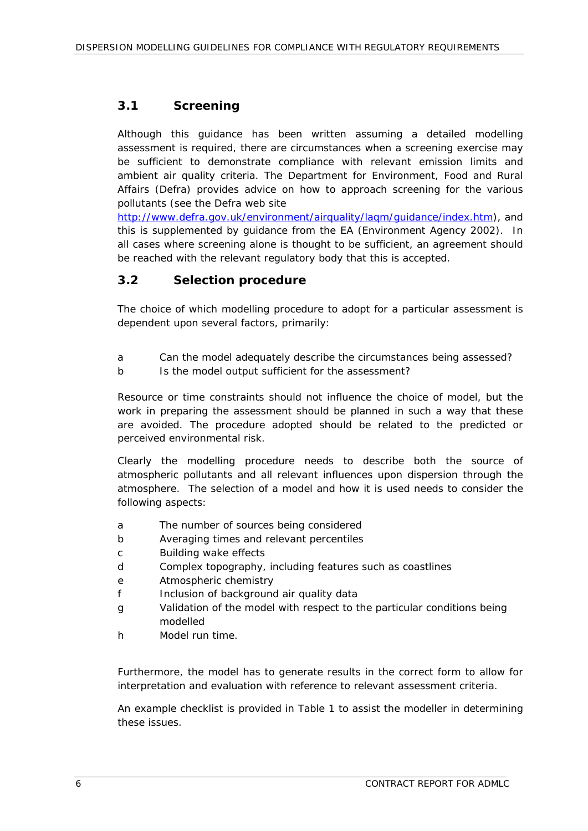### <span id="page-11-0"></span>**3.1 Screening**

Although this guidance has been written assuming a detailed modelling assessment is required, there are circumstances when a screening exercise may be sufficient to demonstrate compliance with relevant emission limits and ambient air quality criteria. The Department for Environment, Food and Rural Affairs (Defra) provides advice on how to approach screening for the various pollutants (see the Defra web site

<http://www.defra.gov.uk/environment/airquality/laqm/guidance/index.htm>), and this is supplemented by guidance from the EA (Environment Agency 2002). In all cases where screening alone is thought to be sufficient, an agreement should be reached with the relevant regulatory body that this is accepted.

### **3.2 Selection procedure**

The choice of which modelling procedure to adopt for a particular assessment is dependent upon several factors, primarily:

- a Can the model adequately describe the circumstances being assessed?
- b Is the model output sufficient for the assessment?

Resource or time constraints should not influence the choice of model, but the work in preparing the assessment should be planned in such a way that these are avoided. The procedure adopted should be related to the predicted or perceived environmental risk.

Clearly the modelling procedure needs to describe both the source of atmospheric pollutants and all relevant influences upon dispersion through the atmosphere. The selection of a model and how it is used needs to consider the following aspects:

- a The number of sources being considered
- b Averaging times and relevant percentiles
- c Building wake effects
- d Complex topography, including features such as coastlines
- e Atmospheric chemistry
- f Inclusion of background air quality data
- g Validation of the model with respect to the particular conditions being modelled
- h Model run time.

Furthermore, the model has to generate results in the correct form to allow for interpretation and evaluation with reference to relevant assessment criteria.

An example checklist is provided in Table 1 to assist the modeller in determining these issues.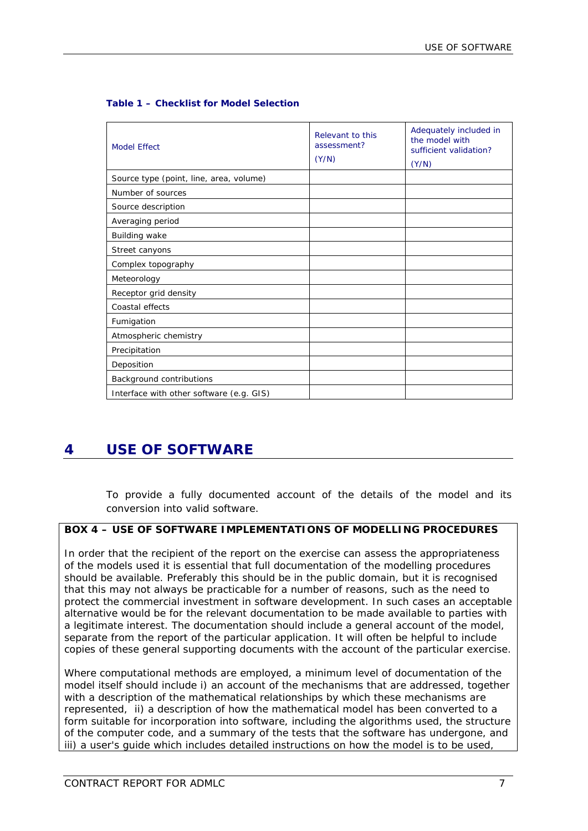| <b>Model Effect</b>                      | Relevant to this<br>assessment?<br>(Y/N) | Adequately included in<br>the model with<br>sufficient validation?<br>(Y/N) |
|------------------------------------------|------------------------------------------|-----------------------------------------------------------------------------|
| Source type (point, line, area, volume)  |                                          |                                                                             |
| Number of sources                        |                                          |                                                                             |
| Source description                       |                                          |                                                                             |
| Averaging period                         |                                          |                                                                             |
| Building wake                            |                                          |                                                                             |
| Street canyons                           |                                          |                                                                             |
| Complex topography                       |                                          |                                                                             |
| Meteorology                              |                                          |                                                                             |
| Receptor grid density                    |                                          |                                                                             |
| Coastal effects                          |                                          |                                                                             |
| Fumigation                               |                                          |                                                                             |
| Atmospheric chemistry                    |                                          |                                                                             |
| Precipitation                            |                                          |                                                                             |
| Deposition                               |                                          |                                                                             |
| Background contributions                 |                                          |                                                                             |
| Interface with other software (e.g. GIS) |                                          |                                                                             |

#### <span id="page-12-0"></span>**Table 1 – Checklist for Model Selection**

# **4 USE OF SOFTWARE**

*To provide a fully documented account of the details of the model and its conversion into valid software.* 

#### **BOX 4 – USE OF SOFTWARE IMPLEMENTATIONS OF MODELLING PROCEDURES**

*In order that the recipient of the report on the exercise can assess the appropriateness of the models used it is essential that full documentation of the modelling procedures should be available. Preferably this should be in the public domain, but it is recognised that this may not always be practicable for a number of reasons, such as the need to protect the commercial investment in software development. In such cases an acceptable alternative would be for the relevant documentation to be made available to parties with a legitimate interest. The documentation should include a general account of the model, separate from the report of the particular application. It will often be helpful to include copies of these general supporting documents with the account of the particular exercise.*

*Where computational methods are employed, a minimum level of documentation of the model itself should include i) an account of the mechanisms that are addressed, together with a description of the mathematical relationships by which these mechanisms are represented, ii) a description of how the mathematical model has been converted to a form suitable for incorporation into software, including the algorithms used, the structure of the computer code, and a summary of the tests that the software has undergone, and iii) a user's guide which includes detailed instructions on how the model is to be used,*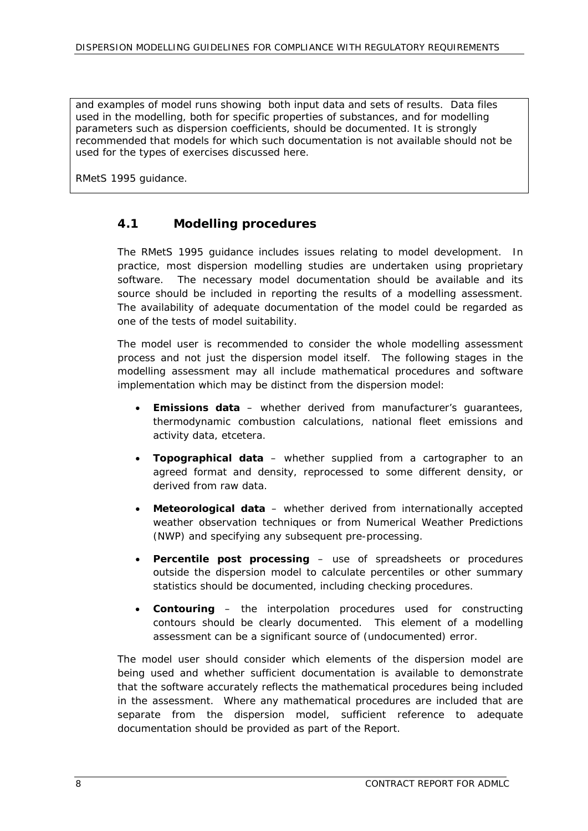<span id="page-13-0"></span>*and examples of model runs showing both input data and sets of results. Data files used in the modelling, both for specific properties of substances, and for modelling parameters such as dispersion coefficients, should be documented. It is strongly recommended that models for which such documentation is not available should not be used for the types of exercises discussed here.* 

RMetS 1995 guidance.

## **4.1 Modelling procedures**

The RMetS 1995 guidance includes issues relating to model development. In practice, most dispersion modelling studies are undertaken using proprietary software. The necessary model documentation should be available and its source should be included in reporting the results of a modelling assessment. The availability of adequate documentation of the model could be regarded as one of the tests of model suitability.

The model user is recommended to consider the whole modelling assessment process and not just the dispersion model itself. The following stages in the modelling assessment may all include mathematical procedures and software implementation which may be distinct from the dispersion model:

- **Emissions data** whether derived from manufacturer's guarantees, thermodynamic combustion calculations, national fleet emissions and activity data, etcetera.
- **Topographical data** whether supplied from a cartographer to an agreed format and density, reprocessed to some different density, or derived from raw data.
- **Meteorological data** whether derived from internationally accepted weather observation techniques or from Numerical Weather Predictions (NWP) and specifying any subsequent pre-processing.
- **Percentile post processing** use of spreadsheets or procedures outside the dispersion model to calculate percentiles or other summary statistics should be documented, including checking procedures.
- **Contouring** the interpolation procedures used for constructing contours should be clearly documented. This element of a modelling assessment can be a significant source of (undocumented) error.

The model user should consider which elements of the dispersion model are being used and whether sufficient documentation is available to demonstrate that the software accurately reflects the mathematical procedures being included in the assessment. Where any mathematical procedures are included that are separate from the dispersion model, sufficient reference to adequate documentation should be provided as part of the Report.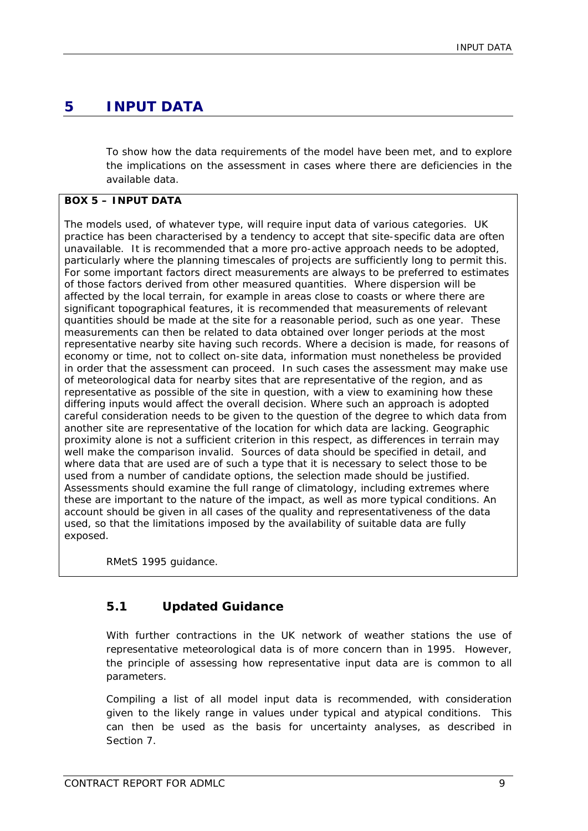# <span id="page-14-0"></span>**5 INPUT DATA**

*To show how the data requirements of the model have been met, and to explore the implications on the assessment in cases where there are deficiencies in the available data.* 

#### **BOX 5 – INPUT DATA**

*The models used, of whatever type, will require input data of various categories. UK practice has been characterised by a tendency to accept that site-specific data are often unavailable. It is recommended that a more pro-active approach needs to be adopted, particularly where the planning timescales of projects are sufficiently long to permit this. For some important factors direct measurements are always to be preferred to estimates of those factors derived from other measured quantities. Where dispersion will be affected by the local terrain, for example in areas close to coasts or where there are significant topographical features, it is recommended that measurements of relevant quantities should be made at the site for a reasonable period, such as one year. These measurements can then be related to data obtained over longer periods at the most representative nearby site having such records. Where a decision is made, for reasons of economy or time, not to collect on-site data, information must nonetheless be provided in order that the assessment can proceed. In such cases the assessment may make use of meteorological data for nearby sites that are representative of the region, and as representative as possible of the site in question, with a view to examining how these differing inputs would affect the overall decision. Where such an approach is adopted careful consideration needs to be given to the question of the degree to which data from another site are representative of the location for which data are lacking. Geographic proximity alone is not a sufficient criterion in this respect, as differences in terrain may well make the comparison invalid. Sources of data should be specified in detail, and where data that are used are of such a type that it is necessary to select those to be used from a number of candidate options, the selection made should be justified. Assessments should examine the full range of climatology, including extremes where these are important to the nature of the impact, as well as more typical conditions. An account should be given in all cases of the quality and representativeness of the data used, so that the limitations imposed by the availability of suitable data are fully exposed.* 

RMetS 1995 guidance.

### **5.1 Updated Guidance**

With further contractions in the UK network of weather stations the use of representative meteorological data is of more concern than in 1995. However, the principle of assessing how representative input data are is common to all parameters.

Compiling a list of all model input data is recommended, with consideration given to the likely range in values under typical and atypical conditions. This can then be used as the basis for uncertainty analyses, as described in Section 7.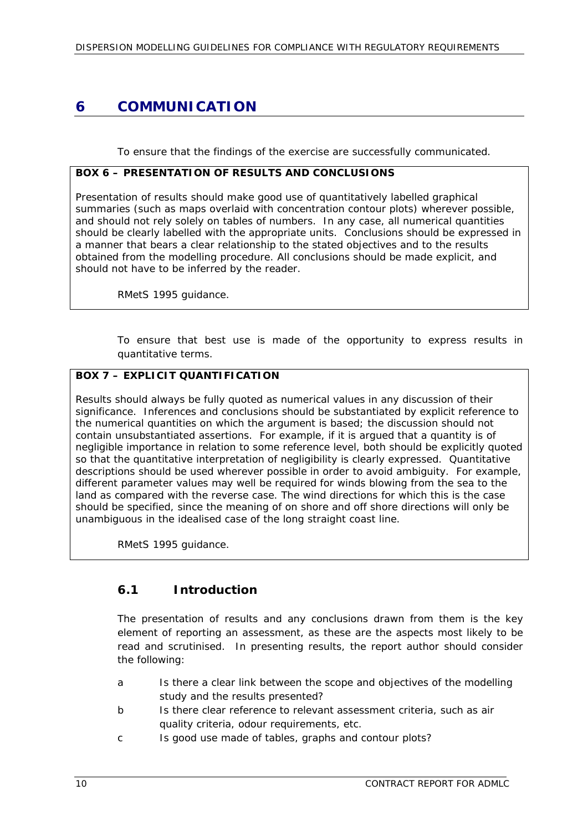# <span id="page-15-0"></span>**6 COMMUNICATION**

*To ensure that the findings of the exercise are successfully communicated.* 

#### **BOX 6 – PRESENTATION OF RESULTS AND CONCLUSIONS**

*Presentation of results should make good use of quantitatively labelled graphical summaries (such as maps overlaid with concentration contour plots) wherever possible, and should not rely solely on tables of numbers. In any case, all numerical quantities should be clearly labelled with the appropriate units. Conclusions should be expressed in a manner that bears a clear relationship to the stated objectives and to the results obtained from the modelling procedure. All conclusions should be made explicit, and should not have to be inferred by the reader.* 

RMetS 1995 guidance.

*To ensure that best use is made of the opportunity to express results in quantitative terms.* 

#### **BOX 7 – EXPLICIT QUANTIFICATION**

*Results should always be fully quoted as numerical values in any discussion of their significance. Inferences and conclusions should be substantiated by explicit reference to the numerical quantities on which the argument is based; the discussion should not contain unsubstantiated assertions. For example, if it is argued that a quantity is of negligible importance in relation to some reference level, both should be explicitly quoted so that the quantitative interpretation of negligibility is clearly expressed. Quantitative descriptions should be used wherever possible in order to avoid ambiguity. For example, different parameter values may well be required for winds blowing from the sea to the land as compared with the reverse case. The wind directions for which this is the case should be specified, since the meaning of on shore and off shore directions will only be unambiguous in the idealised case of the long straight coast line.* 

RMetS 1995 guidance.

### **6.1 Introduction**

The presentation of results and any conclusions drawn from them is the key element of reporting an assessment, as these are the aspects most likely to be read and scrutinised. In presenting results, the report author should consider the following:

- a Is there a clear link between the scope and objectives of the modelling study and the results presented?
- b Is there clear reference to relevant assessment criteria, such as air quality criteria, odour requirements, etc.
- c Is good use made of tables, graphs and contour plots?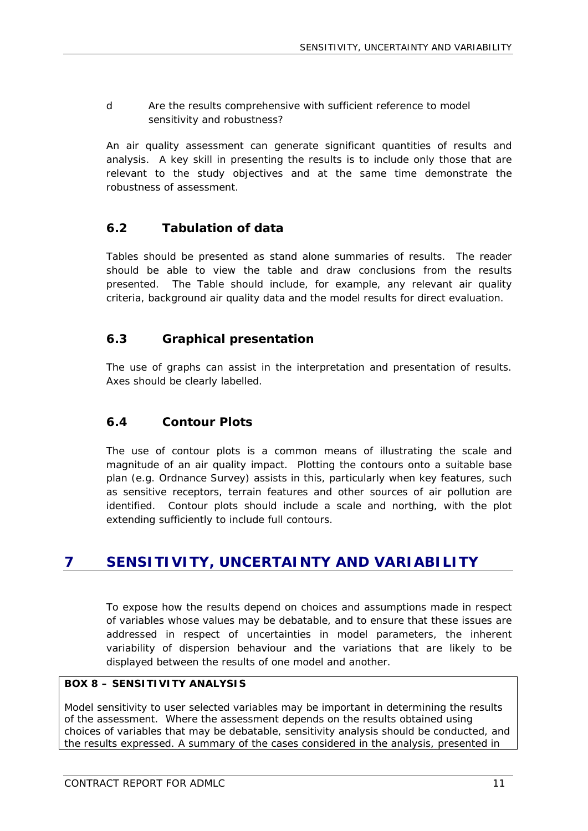<span id="page-16-0"></span>d Are the results comprehensive with sufficient reference to model sensitivity and robustness?

An air quality assessment can generate significant quantities of results and analysis. A key skill in presenting the results is to include only those that are relevant to the study objectives and at the same time demonstrate the robustness of assessment.

## **6.2 Tabulation of data**

Tables should be presented as stand alone summaries of results. The reader should be able to view the table and draw conclusions from the results presented. The Table should include, for example, any relevant air quality criteria, background air quality data and the model results for direct evaluation.

### **6.3 Graphical presentation**

The use of graphs can assist in the interpretation and presentation of results. Axes should be clearly labelled.

#### **6.4 Contour Plots**

The use of contour plots is a common means of illustrating the scale and magnitude of an air quality impact. Plotting the contours onto a suitable base plan (e.g. Ordnance Survey) assists in this, particularly when key features, such as sensitive receptors, terrain features and other sources of air pollution are identified. Contour plots should include a scale and northing, with the plot extending sufficiently to include full contours.

# **7 SENSITIVITY, UNCERTAINTY AND VARIABILITY**

*To expose how the results depend on choices and assumptions made in respect of variables whose values may be debatable, and to ensure that these issues are addressed in respect of uncertainties in model parameters, the inherent variability of dispersion behaviour and the variations that are likely to be displayed between the results of one model and another.* 

#### **BOX 8 – SENSITIVITY ANALYSIS**

*Model sensitivity to user selected variables may be important in determining the results of the assessment. Where the assessment depends on the results obtained using choices of variables that may be debatable, sensitivity analysis should be conducted, and the results expressed. A summary of the cases considered in the analysis, presented in*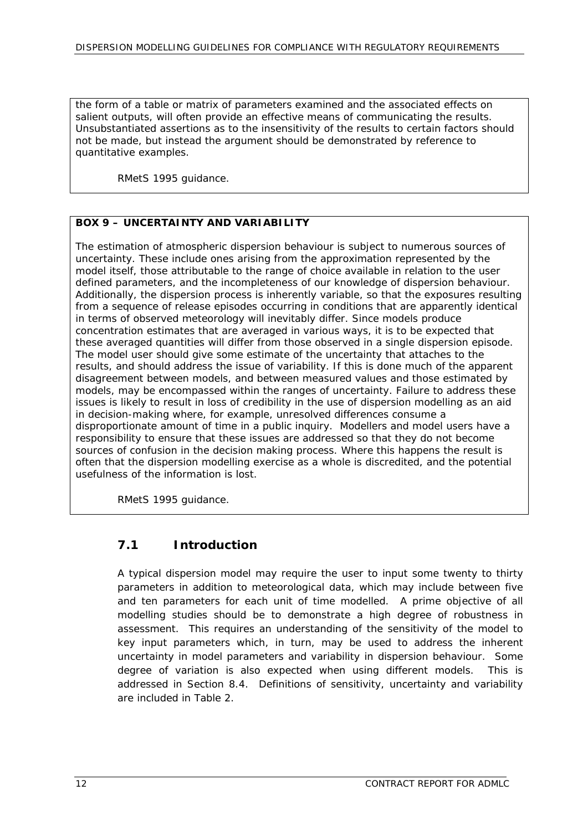<span id="page-17-0"></span>*the form of a table or matrix of parameters examined and the associated effects on salient outputs, will often provide an effective means of communicating the results. Unsubstantiated assertions as to the insensitivity of the results to certain factors should not be made, but instead the argument should be demonstrated by reference to quantitative examples.* 

RMetS 1995 guidance.

#### **BOX 9 – UNCERTAINTY AND VARIABILITY**

*The estimation of atmospheric dispersion behaviour is subject to numerous sources of uncertainty. These include ones arising from the approximation represented by the model itself, those attributable to the range of choice available in relation to the user defined parameters, and the incompleteness of our knowledge of dispersion behaviour. Additionally, the dispersion process is inherently variable, so that the exposures resulting from a sequence of release episodes occurring in conditions that are apparently identical in terms of observed meteorology will inevitably differ. Since models produce concentration estimates that are averaged in various ways, it is to be expected that these averaged quantities will differ from those observed in a single dispersion episode. The model user should give some estimate of the uncertainty that attaches to the results, and should address the issue of variability. If this is done much of the apparent disagreement between models, and between measured values and those estimated by models, may be encompassed within the ranges of uncertainty. Failure to address these issues is likely to result in loss of credibility in the use of dispersion modelling as an aid in decision-making where, for example, unresolved differences consume a disproportionate amount of time in a public inquiry. Modellers and model users have a responsibility to ensure that these issues are addressed so that they do not become sources of confusion in the decision making process. Where this happens the result is often that the dispersion modelling exercise as a whole is discredited, and the potential usefulness of the information is lost.* 

RMetS 1995 guidance.

## **7.1 Introduction**

A typical dispersion model may require the user to input some twenty to thirty parameters in addition to meteorological data, which may include between five and ten parameters for each unit of time modelled. A prime objective of all modelling studies should be to demonstrate a high degree of robustness in assessment. This requires an understanding of the *sensitivity* of the model to key input parameters which, in turn, may be used to address the inherent *uncertainty* in model parameters and *variability* in dispersion behaviour. Some degree of variation is also expected when using different models. This is addressed in Section 8.4. Definitions of sensitivity, uncertainty and variability are included in Table 2.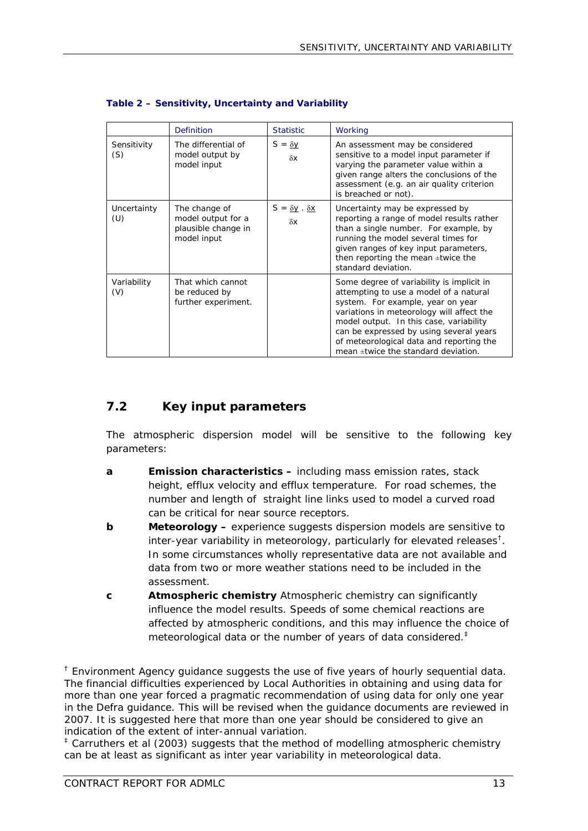|                    | Definition                                                                | <b>Statistic</b>                                                    | Working                                                                                                                                                                                                                                                                                                                                             |  |
|--------------------|---------------------------------------------------------------------------|---------------------------------------------------------------------|-----------------------------------------------------------------------------------------------------------------------------------------------------------------------------------------------------------------------------------------------------------------------------------------------------------------------------------------------------|--|
| Sensitivity<br>(S) | The differential of<br>model output by<br>model input                     | $S = \delta y$<br>$\delta x$                                        | An assessment may be considered<br>sensitive to a model input parameter if<br>varying the parameter value within a<br>given range alters the conclusions of the<br>assessment (e.g. an air quality criterion<br>is breached or not).                                                                                                                |  |
| Uncertainty<br>(U) | The change of<br>model output for a<br>plausible change in<br>model input | $S = \underline{\delta y} \cdot \underline{\delta x}$<br>$\delta x$ | Uncertainty may be expressed by<br>reporting a range of model results rather<br>than a single number. For example, by<br>running the model several times for<br>given ranges of key input parameters,<br>then reporting the mean $\pm$ twice the<br>standard deviation.                                                                             |  |
| Variability<br>(V) | That which cannot<br>be reduced by<br>further experiment.                 |                                                                     | Some degree of variability is implicit in<br>attempting to use a model of a natural<br>system. For example, year on year<br>variations in meteorology will affect the<br>model output. In this case, variability<br>can be expressed by using several years<br>of meteorological data and reporting the<br>mean $\pm$ twice the standard deviation. |  |

<span id="page-18-0"></span>

| Table 2 - Sensitivity, Uncertainty and Variability |  |  |
|----------------------------------------------------|--|--|
|                                                    |  |  |

### **7.2 Key input parameters**

The atmospheric dispersion model will be sensitive to the following key parameters:

- **a Emission characteristics –** including mass emission rates, stack height, efflux velocity and efflux temperature. For road schemes, the number and length of straight line links used to model a curved road can be critical for near source receptors.
- **b Meteorology** experience suggests dispersion models are sensitive to inter-year variability in meteorology, particularly for elevated releases[†](#page-18-1) . In some circumstances wholly representative data are not available and data from two or more weather stations need to be included in the assessment.
- **c Atmospheric chemistry** Atmospheric chemistry can significantly influence the model results. Speeds of some chemical reactions are affected by atmospheric conditions, and this may influence the choice of meteorological data or the number of years of data considered.<sup>[‡](#page-18-2)</sup>

<span id="page-18-1"></span><sup>†</sup> Environment Agency guidance suggests the use of five years of hourly sequential data. The financial difficulties experienced by Local Authorities in obtaining and using data for more than one year forced a pragmatic recommendation of using data for only one year in the Defra guidance. This will be revised when the guidance documents are reviewed in 2007. It is suggested here that more than one year should be considered to give an indication of the extent of inter-annual variation.

<span id="page-18-2"></span><sup>‡</sup> Carruthers et al (2003) suggests that the method of modelling atmospheric chemistry can be at least as significant as inter year variability in meteorological data.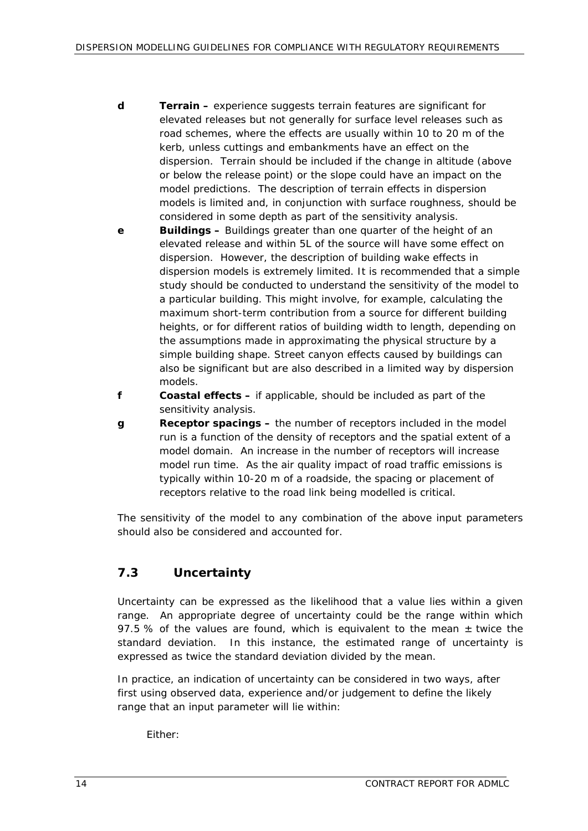- <span id="page-19-0"></span>**d Terrain –** experience suggests terrain features are significant for elevated releases but not generally for surface level releases such as road schemes, where the effects are usually within 10 to 20 m of the kerb, unless cuttings and embankments have an effect on the dispersion. Terrain should be included if the change in altitude (above or below the release point) or the slope could have an impact on the model predictions. The description of terrain effects in dispersion models is limited and, in conjunction with surface roughness, should be considered in some depth as part of the sensitivity analysis.
- **e Buildings** Buildings greater than one quarter of the height of an elevated release and within 5L of the source will have some effect on dispersion. However, the description of building wake effects in dispersion models is extremely limited. It is recommended that a simple study should be conducted to understand the sensitivity of the model to a particular building. This might involve, for example, calculating the maximum short-term contribution from a source for different building heights, or for different ratios of building width to length, depending on the assumptions made in approximating the physical structure by a simple building shape. Street canyon effects caused by buildings can also be significant but are also described in a limited way by dispersion models.
- **f Coastal effects** if applicable, should be included as part of the sensitivity analysis.
- **g Receptor spacings** the number of receptors included in the model run is a function of the density of receptors and the spatial extent of a model domain. An increase in the number of receptors will increase model run time. As the air quality impact of road traffic emissions is typically within 10-20 m of a roadside, the spacing or placement of receptors relative to the road link being modelled is critical.

The sensitivity of the model to any combination of the above input parameters should also be considered and accounted for.

# **7.3 Uncertainty**

Uncertainty can be expressed as the likelihood that a value lies within a given range. An appropriate degree of uncertainty could be the range within which 97.5 % of the values are found, which is equivalent to the mean  $\pm$  twice the standard deviation. In this instance, the estimated range of uncertainty is expressed as twice the standard deviation divided by the mean.

In practice, an indication of uncertainty can be considered in two ways, after first using observed data, experience and/or judgement to define the likely range that an input parameter will lie within:

Either: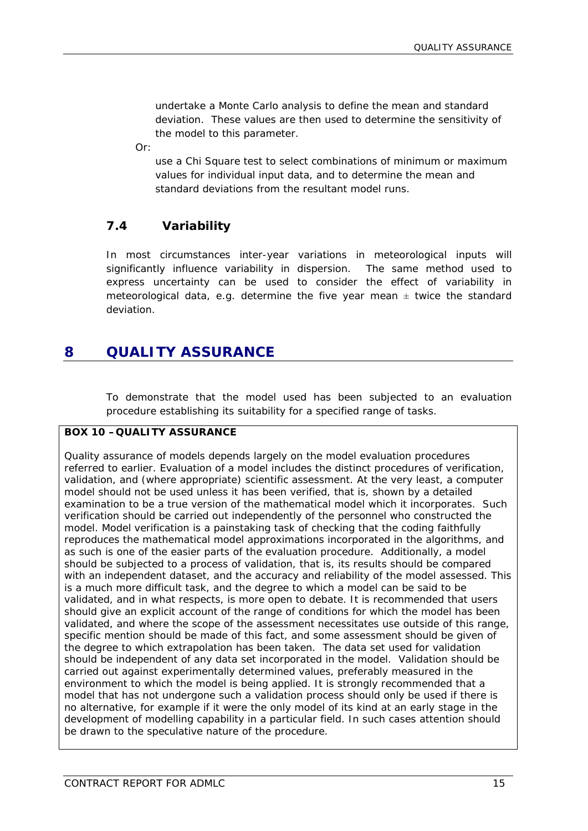<span id="page-20-0"></span>undertake a Monte Carlo analysis to define the mean and standard deviation. These values are then used to determine the sensitivity of the model to this parameter.

Or:

use a Chi Square test to select combinations of minimum or maximum values for individual input data, and to determine the mean and standard deviations from the resultant model runs.

#### **7.4 Variability**

In most circumstances inter-year variations in meteorological inputs will significantly influence variability in dispersion. The same method used to express uncertainty can be used to consider the effect of variability in meteorological data, e.g. determine the five year mean  $\pm$  twice the standard deviation.

## **8 QUALITY ASSURANCE**

*To demonstrate that the model used has been subjected to an evaluation procedure establishing its suitability for a specified range of tasks.* 

#### **BOX 10 –QUALITY ASSURANCE**

*Quality assurance of models depends largely on the model evaluation procedures referred to earlier. Evaluation of a model includes the distinct procedures of verification, validation, and (where appropriate) scientific assessment. At the very least, a computer model should not be used unless it has been verified, that is, shown by a detailed examination to be a true version of the mathematical model which it incorporates. Such verification should be carried out independently of the personnel who constructed the model. Model verification is a painstaking task of checking that the coding faithfully reproduces the mathematical model approximations incorporated in the algorithms, and as such is one of the easier parts of the evaluation procedure. Additionally, a model should be subjected to a process of validation, that is, its results should be compared with an independent dataset, and the accuracy and reliability of the model assessed. This is a much more difficult task, and the degree to which a model can be said to be validated, and in what respects, is more open to debate. It is recommended that users should give an explicit account of the range of conditions for which the model has been validated, and where the scope of the assessment necessitates use outside of this range,*  specific mention should be made of this fact, and some assessment should be given of *the degree to which extrapolation has been taken. The data set used for validation should be independent of any data set incorporated in the model. Validation should be carried out against experimentally determined values, preferably measured in the environment to which the model is being applied. It is strongly recommended that a model that has not undergone such a validation process should only be used if there is no alternative, for example if it were the only model of its kind at an early stage in the development of modelling capability in a particular field. In such cases attention should be drawn to the speculative nature of the procedure.*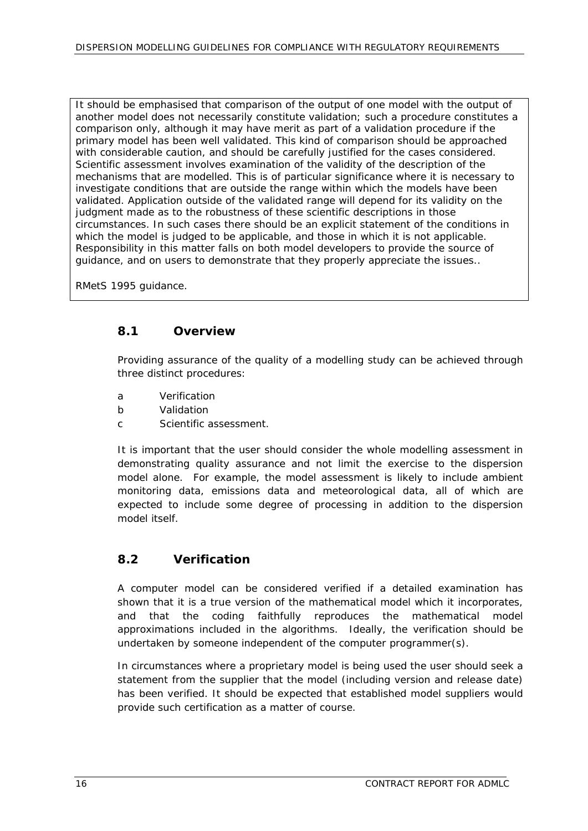<span id="page-21-0"></span>It should be emphasised that comparison of the output of one model with the output of *another model does not necessarily constitute validation; such a procedure constitutes a comparison only, although it may have merit as part of a validation procedure if the primary model has been well validated. This kind of comparison should be approached with considerable caution, and should be carefully justified for the cases considered. Scientific assessment involves examination of the validity of the description of the mechanisms that are modelled. This is of particular significance where it is necessary to investigate conditions that are outside the range within which the models have been validated. Application outside of the validated range will depend for its validity on the judgment made as to the robustness of these scientific descriptions in those circumstances. In such cases there should be an explicit statement of the conditions in which the model is judged to be applicable, and those in which it is not applicable. Responsibility in this matter falls on both model developers to provide the source of guidance, and on users to demonstrate that they properly appreciate the issues..* 

RMetS 1995 guidance.

## **8.1 Overview**

Providing assurance of the quality of a modelling study can be achieved through three distinct procedures:

- a Verification
- b Validation
- c Scientific assessment.

It is important that the user should consider the whole modelling assessment in demonstrating quality assurance and not limit the exercise to the dispersion model alone. For example, the model assessment is likely to include ambient monitoring data, emissions data and meteorological data, all of which are expected to include some degree of processing in addition to the dispersion model itself.

## **8.2 Verification**

A computer model can be considered verified if a detailed examination has shown that it is a true version of the mathematical model which it incorporates, and that the coding faithfully reproduces the mathematical model approximations included in the algorithms. Ideally, the verification should be undertaken by someone independent of the computer programmer(s).

In circumstances where a proprietary model is being used the user should seek a statement from the supplier that the model (including version and release date) has been verified. It should be expected that established model suppliers would provide such certification as a matter of course.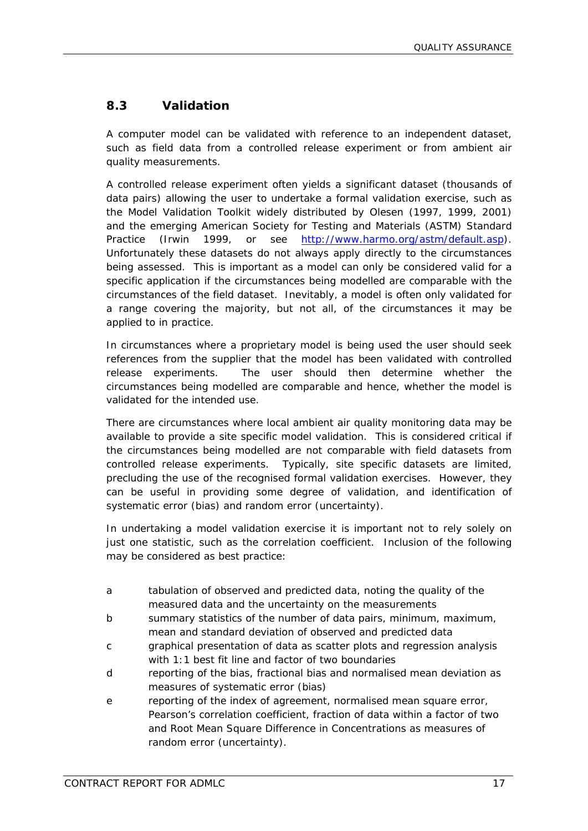## <span id="page-22-0"></span>**8.3 Validation**

A computer model can be validated with reference to an independent dataset, such as field data from a controlled release experiment or from ambient air quality measurements.

A controlled release experiment often yields a significant dataset (thousands of data pairs) allowing the user to undertake a formal validation exercise, such as the Model Validation Toolkit widely distributed by Olesen (1997, 1999, 2001) and the emerging American Society for Testing and Materials (ASTM) Standard Practice (Irwin 1999, or see <http://www.harmo.org/astm/default.asp>). Unfortunately these datasets do not always apply directly to the circumstances being assessed. This is important as a model can only be considered valid for a specific application if the circumstances being modelled are comparable with the circumstances of the field dataset. Inevitably, a model is often only validated for a range covering the majority, but not all, of the circumstances it may be applied to in practice.

In circumstances where a proprietary model is being used the user should seek references from the supplier that the model has been validated with controlled release experiments. The user should then determine whether the circumstances being modelled are comparable and hence, whether the model is validated for the intended use.

There are circumstances where local ambient air quality monitoring data may be available to provide a site specific model validation. This is considered critical if the circumstances being modelled are not comparable with field datasets from controlled release experiments. Typically, site specific datasets are limited, precluding the use of the recognised formal validation exercises. However, they can be useful in providing some degree of validation, and identification of systematic error (bias) and random error (uncertainty).

In undertaking a model validation exercise it is important not to rely solely on just one statistic, such as the correlation coefficient. Inclusion of the following may be considered as best practice:

- a tabulation of observed and predicted data, noting the quality of the measured data and the uncertainty on the measurements
- b summary statistics of the number of data pairs, minimum, maximum, mean and standard deviation of observed and predicted data
- c graphical presentation of data as scatter plots and regression analysis with 1:1 best fit line and factor of two boundaries
- d reporting of the bias, fractional bias and normalised mean deviation as measures of systematic error (bias)
- e reporting of the index of agreement, normalised mean square error, Pearson's correlation coefficient, fraction of data within a factor of two and Root Mean Square Difference in Concentrations as measures of random error (uncertainty).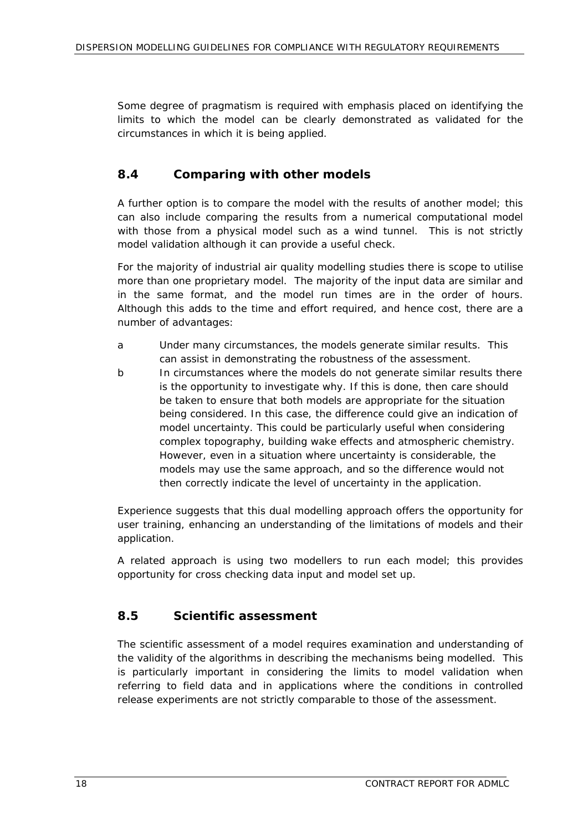<span id="page-23-0"></span>Some degree of pragmatism is required with emphasis placed on identifying the limits to which the model can be clearly demonstrated as validated for the circumstances in which it is being applied.

## **8.4 Comparing with other models**

A further option is to compare the model with the results of another model; this can also include comparing the results from a numerical computational model with those from a physical model such as a wind tunnel. This is not strictly model validation although it can provide a useful check.

For the majority of industrial air quality modelling studies there is scope to utilise more than one proprietary model. The majority of the input data are similar and in the same format, and the model run times are in the order of hours. Although this adds to the time and effort required, and hence cost, there are a number of advantages:

- a Under many circumstances, the models generate similar results. This can assist in demonstrating the robustness of the assessment.
- b In circumstances where the models do not generate similar results there is the opportunity to investigate why. If this is done, then care should be taken to ensure that both models are appropriate for the situation being considered. In this case, the difference could give an indication of model uncertainty. This could be particularly useful when considering complex topography, building wake effects and atmospheric chemistry. However, even in a situation where uncertainty is considerable, the models may use the same approach, and so the difference would not then correctly indicate the level of uncertainty in the application.

Experience suggests that this dual modelling approach offers the opportunity for user training, enhancing an understanding of the limitations of models and their application.

A related approach is using two modellers to run each model; this provides opportunity for cross checking data input and model set up.

## **8.5 Scientific assessment**

The scientific assessment of a model requires examination and understanding of the validity of the algorithms in describing the mechanisms being modelled. This is particularly important in considering the limits to model validation when referring to field data and in applications where the conditions in controlled release experiments are not strictly comparable to those of the assessment.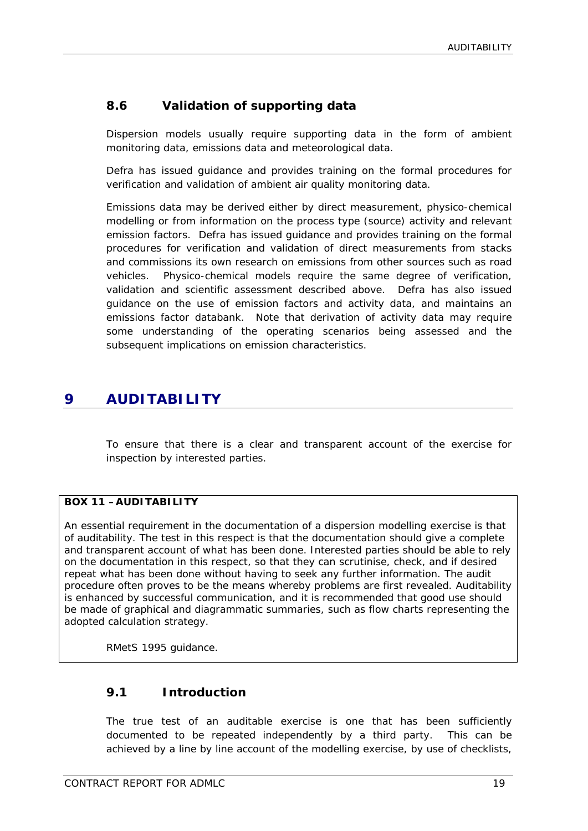### <span id="page-24-0"></span>**8.6 Validation of supporting data**

Dispersion models usually require supporting data in the form of ambient monitoring data, emissions data and meteorological data.

Defra has issued guidance and provides training on the formal procedures for verification and validation of ambient air quality monitoring data.

Emissions data may be derived either by direct measurement, physico-chemical modelling or from information on the process type (source) activity and relevant emission factors. Defra has issued guidance and provides training on the formal procedures for verification and validation of direct measurements from stacks and commissions its own research on emissions from other sources such as road vehicles. Physico-chemical models require the same degree of verification, validation and scientific assessment described above. Defra has also issued guidance on the use of emission factors and activity data, and maintains an emissions factor databank. Note that derivation of activity data may require some understanding of the operating scenarios being assessed and the subsequent implications on emission characteristics.

# **9 AUDITABILITY**

*To ensure that there is a clear and transparent account of the exercise for inspection by interested parties.* 

#### **BOX 11 –AUDITABILITY**

*An essential requirement in the documentation of a dispersion modelling exercise is that of auditability. The test in this respect is that the documentation should give a complete and transparent account of what has been done. Interested parties should be able to rely on the documentation in this respect, so that they can scrutinise, check, and if desired repeat what has been done without having to seek any further information. The audit procedure often proves to be the means whereby problems are first revealed. Auditability is enhanced by successful communication, and it is recommended that good use should be made of graphical and diagrammatic summaries, such as flow charts representing the adopted calculation strategy.* 

RMetS 1995 guidance.

#### **9.1 Introduction**

The true test of an auditable exercise is one that has been sufficiently documented to be repeated independently by a third party. This can be achieved by a line by line account of the modelling exercise, by use of checklists,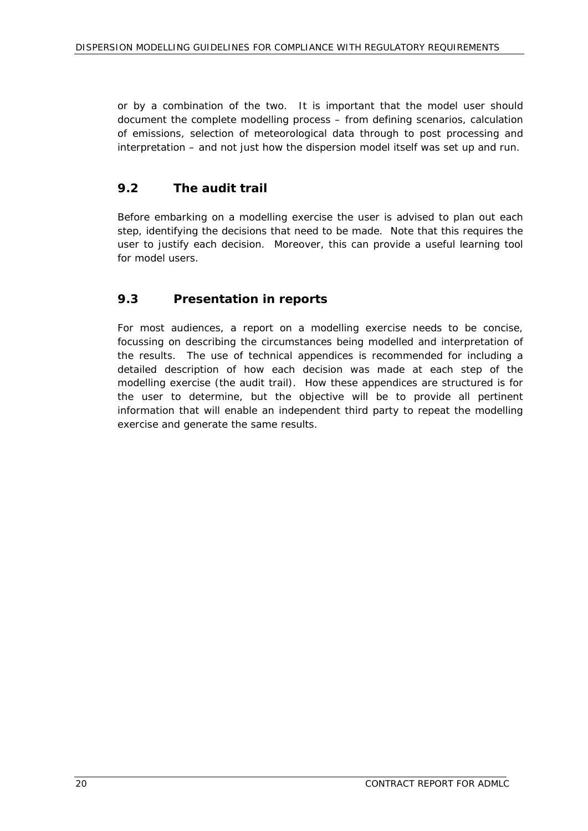<span id="page-25-0"></span>or by a combination of the two. It is important that the model user should document the complete modelling process – from defining scenarios, calculation of emissions, selection of meteorological data through to post processing and interpretation – and not just how the dispersion model itself was set up and run.

### **9.2 The audit trail**

Before embarking on a modelling exercise the user is advised to plan out each step, identifying the decisions that need to be made. Note that this requires the user to justify each decision. Moreover, this can provide a useful learning tool for model users.

## **9.3 Presentation in reports**

For most audiences, a report on a modelling exercise needs to be concise, focussing on describing the circumstances being modelled and interpretation of the results. The use of technical appendices is recommended for including a detailed description of how each decision was made at each step of the modelling exercise (the audit trail). How these appendices are structured is for the user to determine, but the objective will be to provide all pertinent information that will enable an independent third party to repeat the modelling exercise and generate the same results.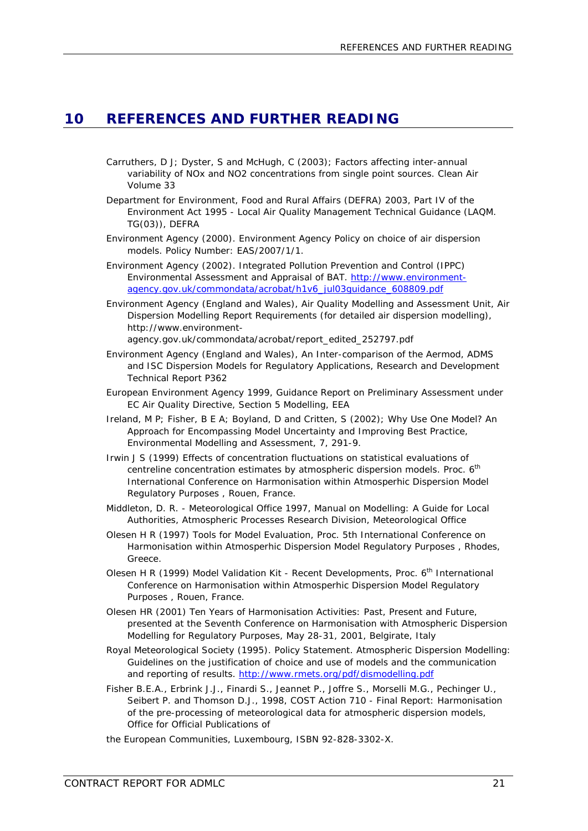## <span id="page-26-0"></span>**10 REFERENCES AND FURTHER READING**

- Carruthers, D J; Dyster, S and McHugh, C (2003); Factors affecting inter-annual variability of NOx and NO2 concentrations from single point sources. Clean Air Volume 33
- Department for Environment, Food and Rural Affairs (DEFRA) 2003, Part IV of the Environment Act 1995 - Local Air Quality Management Technical Guidance (LAQM. TG(03)), DEFRA
- Environment Agency (2000). Environment Agency Policy on choice of air dispersion models. Policy Number: EAS/2007/1/1.
- Environment Agency (2002). Integrated Pollution Prevention and Control (IPPC) Environmental Assessment and Appraisal of BAT. [http://www.environment](http://www.environment-agency.gov.uk/commondata/acrobat/h1v6_jul03guidance_608809.pdf)[agency.gov.uk/commondata/acrobat/h1v6\\_jul03guidance\\_608809.pdf](http://www.environment-agency.gov.uk/commondata/acrobat/h1v6_jul03guidance_608809.pdf)
- Environment Agency (England and Wales), Air Quality Modelling and Assessment Unit, Air Dispersion Modelling Report Requirements (for detailed air dispersion modelling), http://www.environment-

agency.gov.uk/commondata/acrobat/report\_edited\_252797.pdf

- Environment Agency (England and Wales), An Inter-comparison of the Aermod, ADMS and ISC Dispersion Models for Regulatory Applications, Research and Development Technical Report P362
- European Environment Agency 1999, Guidance Report on Preliminary Assessment under EC Air Quality Directive, Section 5 Modelling, EEA
- Ireland, M P; Fisher, B E A; Boyland, D and Critten, S (2002); Why Use One Model? An Approach for Encompassing Model Uncertainty and Improving Best Practice, Environmental Modelling and Assessment, 7, 291-9.
- Irwin J S (1999) Effects of concentration fluctuations on statistical evaluations of centreline concentration estimates by atmospheric dispersion models. Proc. 6<sup>th</sup> International Conference on Harmonisation within Atmosperhic Dispersion Model Regulatory Purposes , Rouen, France.
- Middleton, D. R. Meteorological Office 1997, Manual on Modelling: A Guide for Local Authorities, Atmospheric Processes Research Division, Meteorological Office
- Olesen H R (1997) Tools for Model Evaluation, Proc. 5th International Conference on Harmonisation within Atmosperhic Dispersion Model Regulatory Purposes , Rhodes, Greece.
- Olesen H R (1999) Model Validation Kit Recent Developments, Proc. 6<sup>th</sup> International Conference on Harmonisation within Atmosperhic Dispersion Model Regulatory Purposes , Rouen, France.
- Olesen HR (2001) Ten Years of Harmonisation Activities: Past, Present and Future, presented at the Seventh Conference on Harmonisation with Atmospheric Dispersion Modelling for Regulatory Purposes, May 28-31, 2001, Belgirate, Italy
- Royal Meteorological Society (1995). Policy Statement. Atmospheric Dispersion Modelling: Guidelines on the justification of choice and use of models and the communication and reporting of results.<http://www.rmets.org/pdf/dismodelling.pdf>
- Fisher B.E.A., Erbrink J.J., Finardi S., Jeannet P., Joffre S., Morselli M.G., Pechinger U., Seibert P. and Thomson D.J., 1998, COST Action 710 - Final Report: Harmonisation of the pre-processing of meteorological data for atmospheric dispersion models, Office for Official Publications of
- the European Communities, Luxembourg, ISBN 92-828-3302-X.